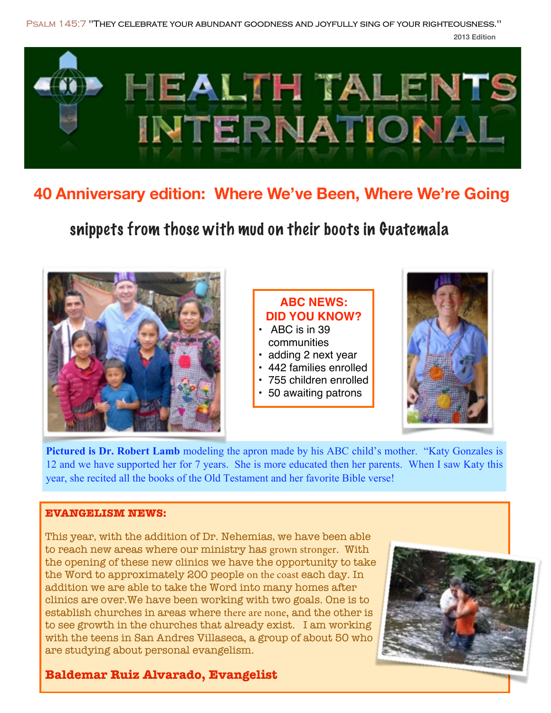**2013 Edition [Psalm 145:7](http://www.biblegateway.com/passage/?search=Psalm+145:7&version=NIV) "They celebrate your abundant goodness and joyfully sing of your righteousness."**



## **40 Anniversary edition: Where We've Been, Where We're Going**

snippets from those with mud on their boots in Guatemala



**Pictured is Dr. Robert Lamb** modeling the apron made by his ABC child's mother. "Katy Gonzales is 12 and we have supported her for 7 years. She is more educated then her parents. When I saw Katy this year, she recited all the books of the Old Testament and her favorite Bible verse!

#### **EVANGELISM NEWS:**

This year, with the addition of Dr. Nehemias, we have been able to reach new areas where our ministry has grown stronger. With the opening of these new clinics we have the opportunity to take the Word to approximately 200 people on the coast each day. In addition we are able to take the Word into many homes after clinics are over.We have been working with two goals. One is to establish churches in areas where there are none, and the other is to see growth in the churches that already exist. I am working with the teens in San Andres Villaseca, a group of about 50 who are studying about personal evangelism.



### **Baldemar Ruiz Alvarado, Evangelist**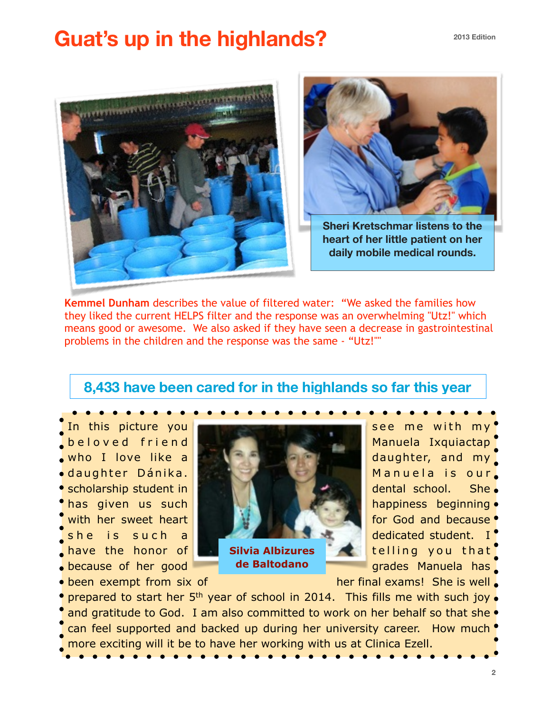# **Guat's up in the highlands?**





**Sheri Kretschmar listens to the heart of her little patient on her daily mobile medical rounds.**

**Kemmel Dunham** describes the value of filtered water: "We asked the families how they liked the current HELPS filter and the response was an overwhelming "Utz!" which means good or awesome. We also asked if they have seen a decrease in gastrointestinal problems in the children and the response was the same - "Utz!""

### **8,433 have been cared for in the highlands so far this year**

 $\bullet$  because of her good  $\bullet$  de Baltodano  $\bullet$  grades Manuela has



**de Baltodano**

• been exempt from six of  $h$  her final exams! She is well.

• prepared to start her  $5<sup>th</sup>$  year of school in 2014. This fills me with such joy. and gratitude to God. I am also committed to work on her behalf so that she  $\bullet$ can feel supported and backed up during her university career. How much  $\bullet$ more exciting will it be to have her working with us at Clinica Ezell.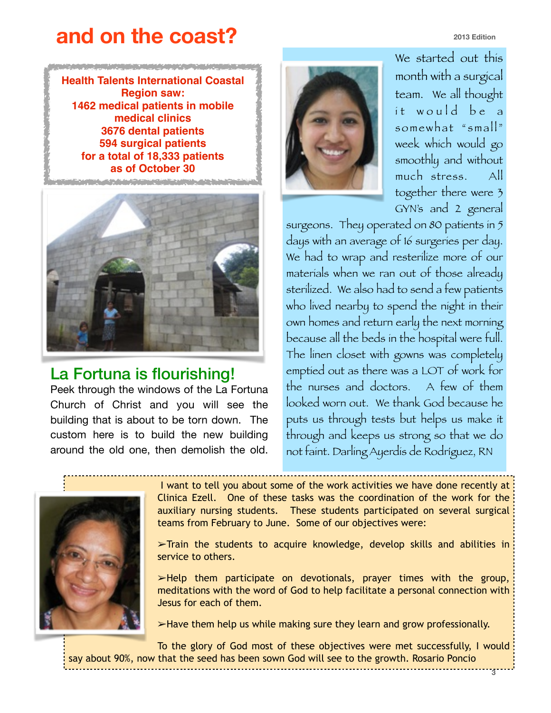## **and on the coast?**

**2013 Edition**

**3**

**Health Talents International Coastal Region saw: 1462 medical patients in mobile medical clinics 3676 dental patients 594 surgical patients for a total of 18,333 patients as of October 30**





### La Fortuna is flourishing!

Peek through the windows of the La Fortuna Church of Christ and you will see the building that is about to be torn down. The custom here is to build the new building around the old one, then demolish the old.



We started out this month with a surgical team. We all thought it would be a somewhat "small" week which would go smoothly and without much stress. All together there were 3 GYN's and 2 general

surgeons. They operated on 80 patients in 5 days with an average of 16 surgeries per day. We had to wrap and resterilize more of our materials when we ran out of those already sterilized. We also had to send a few patients who lived nearby to spend the night in their own homes and return early the next morning because all the beds in the hospital were full. The linen closet with gowns was completely emptied out as there was a LOT of work for the nurses and doctors. A few of them looked worn out. We thank God because he puts us through tests but helps us make it through and keeps us strong so that we do not faint. Darling Ayerdis de Rodríguez, RN



 I want to tell you about some of the work activities we have done recently at Clinica Ezell. One of these tasks was the coordination of the work for the auxiliary nursing students. These students participated on several surgical teams from February to June. Some of our objectives were:

➢Train the students to acquire knowledge, develop skills and abilities in service to others.

 $\blacktriangleright$ Help them participate on devotionals, prayer times with the group, meditations with the word of God to help facilitate a personal connection with Jesus for each of them.

➢Have them help us while making sure they learn and grow professionally.

To the glory of God most of these objectives were met successfully, I would say about 90%, now that the seed has been sown God will see to the growth. Rosario Poncio